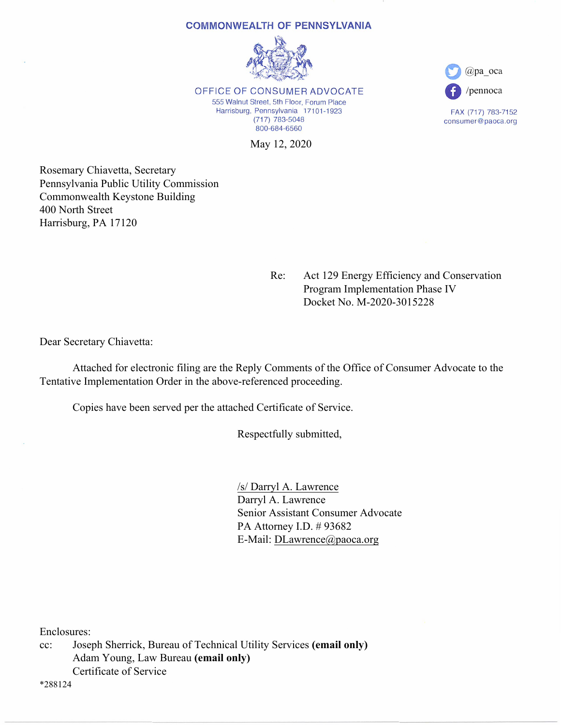#### **COMMONWEALTH OF PENNSYLVANIA**



OFFICE OF CONSUMER ADVOCATE 555 Walnut Street, 5th Floor, Forum Place Harrisburg, Pennsylvania 17101-1923  $(717)$  783-5048 800-684-6560

 $(a)$ pa oca /pennoca

FAX (717) 783-7152 consumer@paoca.org

May 12, 2020

Rosemary Chiavetta, Secretary Pennsylvania Public Utility Commission Commonwealth Keystone Building 400 North Street Harrisburg, PA 17120

> Re: Act 129 Energy Efficiency and Conservation Program Implementation Phase IV Docket No. M-2020-3015228

Dear Secretary Chiavetta:

 Attached for electronic filing are the Reply Comments of the Office of Consumer Advocate to the Tentative Implementation Order in the above-referenced proceeding.

Copies have been served per the attached Certificate of Service.

Respectfully submitted,

 /s/ Darryl A. Lawrence Darryl A. Lawrence Senior Assistant Consumer Advocate PA Attorney I.D. # 93682 E-Mail: DLawrence@paoca.org

Enclosures:

cc: Joseph Sherrick, Bureau of Technical Utility Services **(email only)**  Adam Young, Law Bureau **(email only)**  Certificate of Service

\*288124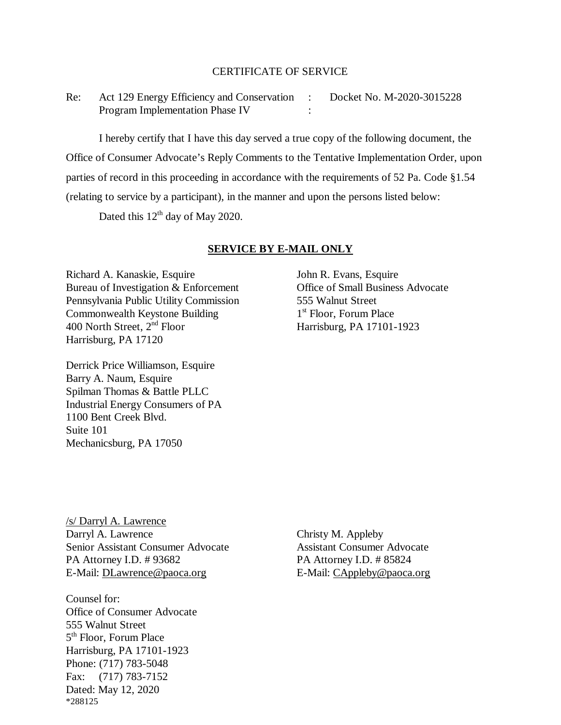## CERTIFICATE OF SERVICE

Re: Act 129 Energy Efficiency and Conservation : Docket No. M-2020-3015228 Program Implementation Phase IV :

I hereby certify that I have this day served a true copy of the following document, the Office of Consumer Advocate's Reply Comments to the Tentative Implementation Order, upon parties of record in this proceeding in accordance with the requirements of 52 Pa. Code §1.54 (relating to service by a participant), in the manner and upon the persons listed below:

Dated this  $12<sup>th</sup>$  day of May 2020.

## **SERVICE BY E-MAIL ONLY**

Richard A. Kanaskie, Esquire<br>
Bureau of Investigation & Enforcement<br>
Office of Small Business Advocate Bureau of Investigation  $&$  Enforcement Pennsylvania Public Utility Commission 555 Walnut Street Commonwealth Keystone Building 1<sup>st</sup> Floor, Forum Place<br>400 North Street, 2<sup>nd</sup> Floor Harrisburg, PA 17101-Harrisburg, PA 17120

Derrick Price Williamson, Esquire Barry A. Naum, Esquire Spilman Thomas & Battle PLLC Industrial Energy Consumers of PA 1100 Bent Creek Blvd. Suite 101 Mechanicsburg, PA 17050

Harrisburg, PA 17101-1923

/s/ Darryl A. Lawrence Darryl A. Lawrence Christy M. Appleby Senior Assistant Consumer Advocate Assistant Consumer Advocate PA Attorney I.D. # 93682 PA Attorney I.D. # 85824 E-Mail: [DLawrence@paoca.org](mailto:DLawrence@paoca.org) <br>E-Mail: [CAppleby@paoca.org](mailto:CAppleby@paoca.org)

Counsel for: Office of Consumer Advocate 555 Walnut Street 5th Floor, Forum Place Harrisburg, PA 17101-1923 Phone: (717) 783-5048 Fax: (717) 783-7152 Dated: May 12, 2020 \*288125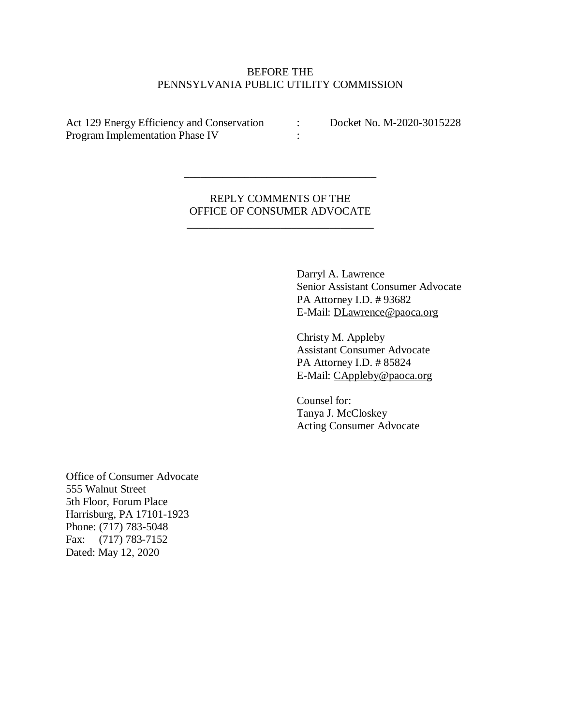# BEFORE THE PENNSYLVANIA PUBLIC UTILITY COMMISSION

Act 129 Energy Efficiency and Conservation : Docket No. M-2020-3015228 Program Implementation Phase IV :

REPLY COMMENTS OF THE OFFICE OF CONSUMER ADVOCATE

\_\_\_\_\_\_\_\_\_\_\_\_\_\_\_\_\_\_\_\_\_\_\_\_\_\_\_\_\_\_\_\_\_\_

\_\_\_\_\_\_\_\_\_\_\_\_\_\_\_\_\_\_\_\_\_\_\_\_\_\_\_\_\_\_\_\_\_\_\_

Darryl A. Lawrence Senior Assistant Consumer Advocate PA Attorney I.D. # 93682 E-Mail: DLawrence@paoca.org

Christy M. Appleby Assistant Consumer Advocate PA Attorney I.D. # 85824 E-Mail: CAppleby@paoca.org

Counsel for: Tanya J. McCloskey Acting Consumer Advocate

Office of Consumer Advocate 555 Walnut Street 5th Floor, Forum Place Harrisburg, PA 17101-1923 Phone: (717) 783-5048 Fax: (717) 783-7152 Dated: May 12, 2020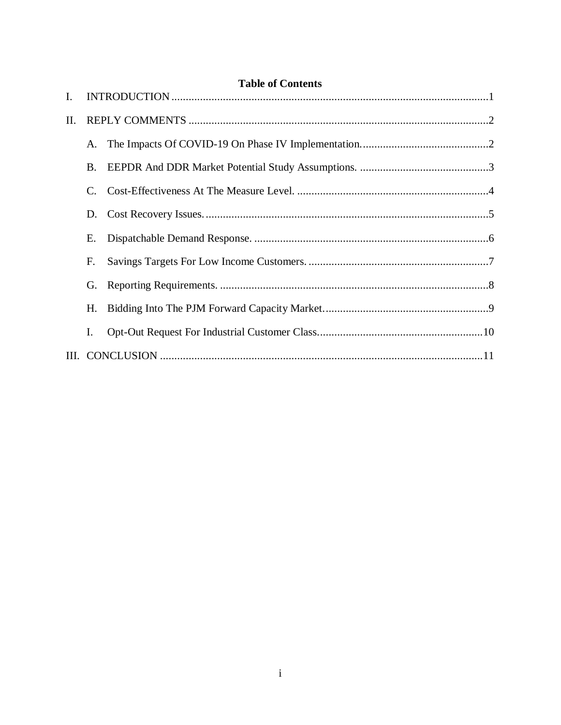<span id="page-3-0"></span>

| Ι.  |    | Table of Contents<br>$\bf INTRODUCTION \dots 11$ |  |
|-----|----|--------------------------------------------------|--|
| II. |    |                                                  |  |
|     | A. |                                                  |  |
|     | B. |                                                  |  |
|     | C. |                                                  |  |
|     | D. |                                                  |  |
|     | Е. |                                                  |  |
|     | F. |                                                  |  |
|     | G. |                                                  |  |
|     | Н. |                                                  |  |
|     | I. |                                                  |  |
|     |    |                                                  |  |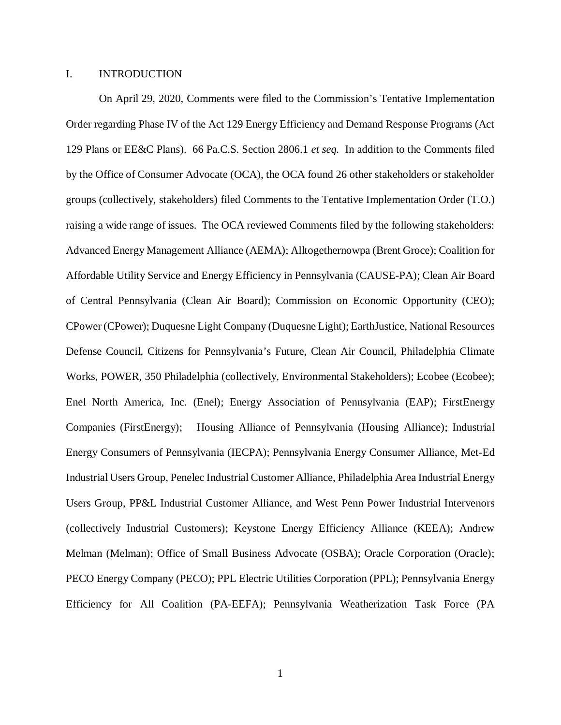#### I. INTRODUCTION

On April 29, 2020, Comments were filed to the Commission's Tentative Implementation Order regarding Phase IV of the Act 129 Energy Efficiency and Demand Response Programs (Act 129 Plans or EE&C Plans). 66 Pa.C.S. Section 2806.1 *et seq.* In addition to the Comments filed by the Office of Consumer Advocate (OCA), the OCA found 26 other stakeholders or stakeholder groups (collectively, stakeholders) filed Comments to the Tentative Implementation Order (T.O.) raising a wide range of issues. The OCA reviewed Comments filed by the following stakeholders: Advanced Energy Management Alliance (AEMA); Alltogethernowpa (Brent Groce); Coalition for Affordable Utility Service and Energy Efficiency in Pennsylvania (CAUSE-PA); Clean Air Board of Central Pennsylvania (Clean Air Board); Commission on Economic Opportunity (CEO); CPower (CPower); Duquesne Light Company (Duquesne Light); EarthJustice, National Resources Defense Council, Citizens for Pennsylvania's Future, Clean Air Council, Philadelphia Climate Works, POWER, 350 Philadelphia (collectively, Environmental Stakeholders); Ecobee (Ecobee); Enel North America, Inc. (Enel); Energy Association of Pennsylvania (EAP); FirstEnergy Companies (FirstEnergy); Housing Alliance of Pennsylvania (Housing Alliance); Industrial Energy Consumers of Pennsylvania (IECPA); Pennsylvania Energy Consumer Alliance, Met-Ed Industrial Users Group, Penelec Industrial Customer Alliance, Philadelphia Area Industrial Energy Users Group, PP&L Industrial Customer Alliance, and West Penn Power Industrial Intervenors (collectively Industrial Customers); Keystone Energy Efficiency Alliance (KEEA); Andrew Melman (Melman); Office of Small Business Advocate (OSBA); Oracle Corporation (Oracle); PECO Energy Company (PECO); PPL Electric Utilities Corporation (PPL); Pennsylvania Energy Efficiency for All Coalition (PA-EEFA); Pennsylvania Weatherization Task Force (PA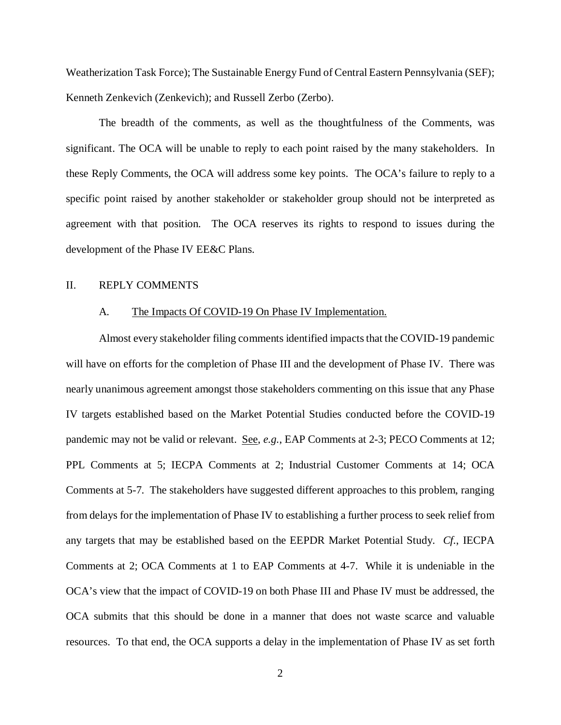Weatherization Task Force); The Sustainable Energy Fund of Central Eastern Pennsylvania (SEF); Kenneth Zenkevich (Zenkevich); and Russell Zerbo (Zerbo).

The breadth of the comments, as well as the thoughtfulness of the Comments, was significant. The OCA will be unable to reply to each point raised by the many stakeholders. In these Reply Comments, the OCA will address some key points. The OCA's failure to reply to a specific point raised by another stakeholder or stakeholder group should not be interpreted as agreement with that position. The OCA reserves its rights to respond to issues during the development of the Phase IV EE&C Plans.

# <span id="page-5-0"></span>II. REPLY COMMENTS

## <span id="page-5-1"></span>A. The Impacts Of COVID-19 On Phase IV Implementation.

Almost every stakeholder filing comments identified impacts that the COVID-19 pandemic will have on efforts for the completion of Phase III and the development of Phase IV. There was nearly unanimous agreement amongst those stakeholders commenting on this issue that any Phase IV targets established based on the Market Potential Studies conducted before the COVID-19 pandemic may not be valid or relevant. See, *e.g.*, EAP Comments at 2-3; PECO Comments at 12; PPL Comments at 5; IECPA Comments at 2; Industrial Customer Comments at 14; OCA Comments at 5-7. The stakeholders have suggested different approaches to this problem, ranging from delays for the implementation of Phase IV to establishing a further process to seek relief from any targets that may be established based on the EEPDR Market Potential Study. *Cf.*, IECPA Comments at 2; OCA Comments at 1 to EAP Comments at 4-7. While it is undeniable in the OCA's view that the impact of COVID-19 on both Phase III and Phase IV must be addressed, the OCA submits that this should be done in a manner that does not waste scarce and valuable resources. To that end, the OCA supports a delay in the implementation of Phase IV as set forth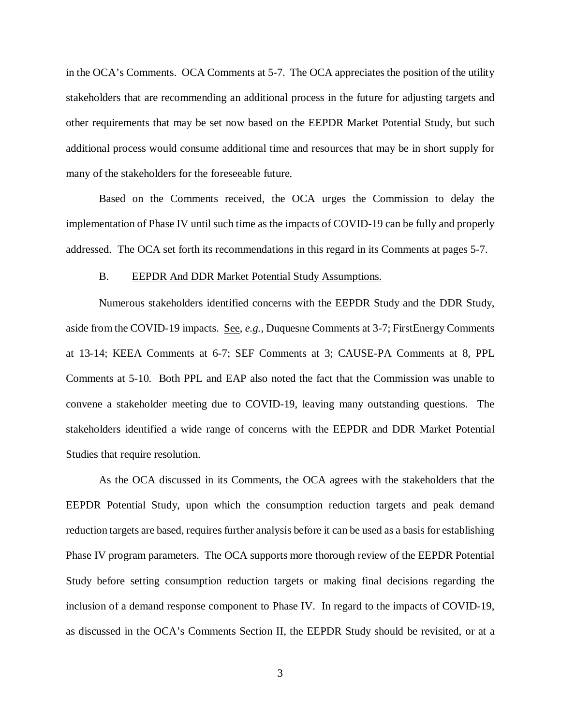in the OCA's Comments. OCA Comments at 5-7. The OCA appreciates the position of the utility stakeholders that are recommending an additional process in the future for adjusting targets and other requirements that may be set now based on the EEPDR Market Potential Study, but such additional process would consume additional time and resources that may be in short supply for many of the stakeholders for the foreseeable future.

Based on the Comments received, the OCA urges the Commission to delay the implementation of Phase IV until such time as the impacts of COVID-19 can be fully and properly addressed. The OCA set forth its recommendations in this regard in its Comments at pages 5-7.

#### <span id="page-6-0"></span>B. EEPDR And DDR Market Potential Study Assumptions.

Numerous stakeholders identified concerns with the EEPDR Study and the DDR Study, aside from the COVID-19 impacts. See, *e.g.*, Duquesne Comments at 3-7; FirstEnergy Comments at 13-14; KEEA Comments at 6-7; SEF Comments at 3; CAUSE-PA Comments at 8, PPL Comments at 5-10. Both PPL and EAP also noted the fact that the Commission was unable to convene a stakeholder meeting due to COVID-19, leaving many outstanding questions. The stakeholders identified a wide range of concerns with the EEPDR and DDR Market Potential Studies that require resolution.

As the OCA discussed in its Comments, the OCA agrees with the stakeholders that the EEPDR Potential Study, upon which the consumption reduction targets and peak demand reduction targets are based, requires further analysis before it can be used as a basis for establishing Phase IV program parameters. The OCA supports more thorough review of the EEPDR Potential Study before setting consumption reduction targets or making final decisions regarding the inclusion of a demand response component to Phase IV. In regard to the impacts of COVID-19, as discussed in the OCA's Comments Section II, the EEPDR Study should be revisited, or at a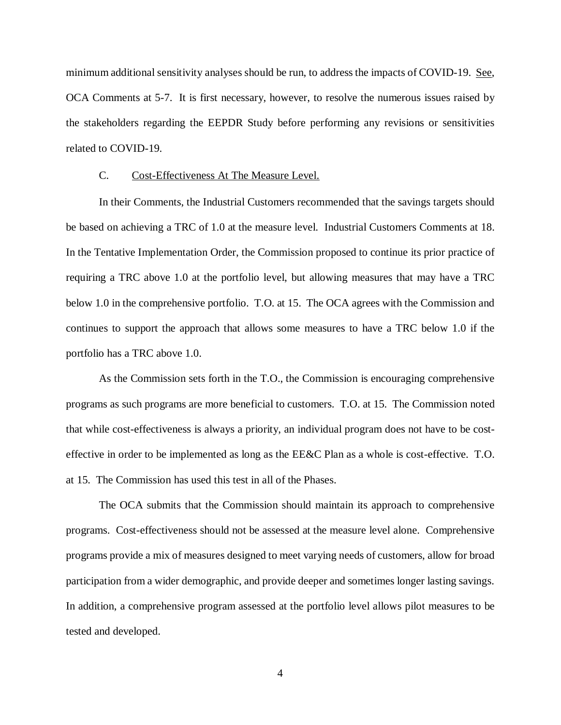minimum additional sensitivity analyses should be run, to address the impacts of COVID-19. See, OCA Comments at 5-7. It is first necessary, however, to resolve the numerous issues raised by the stakeholders regarding the EEPDR Study before performing any revisions or sensitivities related to COVID-19.

#### <span id="page-7-0"></span>C. Cost-Effectiveness At The Measure Level.

In their Comments, the Industrial Customers recommended that the savings targets should be based on achieving a TRC of 1.0 at the measure level. Industrial Customers Comments at 18. In the Tentative Implementation Order, the Commission proposed to continue its prior practice of requiring a TRC above 1.0 at the portfolio level, but allowing measures that may have a TRC below 1.0 in the comprehensive portfolio. T.O. at 15. The OCA agrees with the Commission and continues to support the approach that allows some measures to have a TRC below 1.0 if the portfolio has a TRC above 1.0.

As the Commission sets forth in the T.O., the Commission is encouraging comprehensive programs as such programs are more beneficial to customers. T.O. at 15. The Commission noted that while cost-effectiveness is always a priority, an individual program does not have to be costeffective in order to be implemented as long as the EE&C Plan as a whole is cost-effective. T.O. at 15. The Commission has used this test in all of the Phases.

The OCA submits that the Commission should maintain its approach to comprehensive programs. Cost-effectiveness should not be assessed at the measure level alone. Comprehensive programs provide a mix of measures designed to meet varying needs of customers, allow for broad participation from a wider demographic, and provide deeper and sometimes longer lasting savings. In addition, a comprehensive program assessed at the portfolio level allows pilot measures to be tested and developed.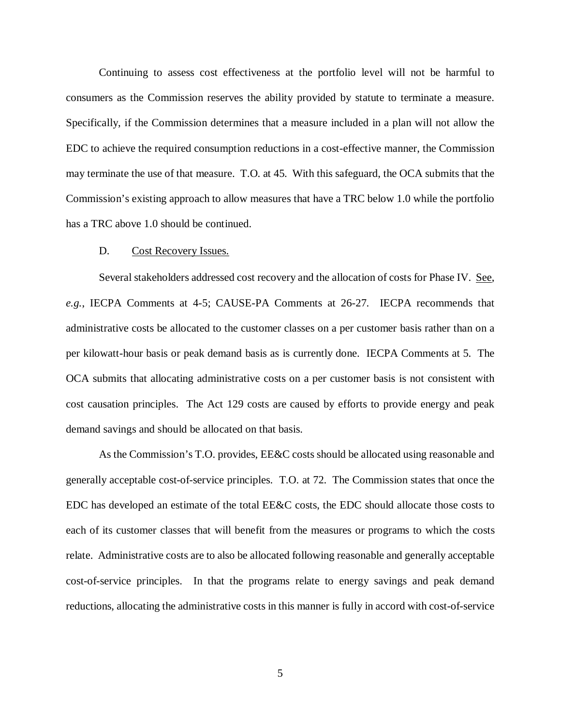Continuing to assess cost effectiveness at the portfolio level will not be harmful to consumers as the Commission reserves the ability provided by statute to terminate a measure. Specifically, if the Commission determines that a measure included in a plan will not allow the EDC to achieve the required consumption reductions in a cost-effective manner, the Commission may terminate the use of that measure. T.O. at 45. With this safeguard, the OCA submits that the Commission's existing approach to allow measures that have a TRC below 1.0 while the portfolio has a TRC above 1.0 should be continued.

### D. Cost Recovery Issues.

<span id="page-8-0"></span>Several stakeholders addressed cost recovery and the allocation of costs for Phase IV. See, *e.g.*, IECPA Comments at 4-5; CAUSE-PA Comments at 26-27. IECPA recommends that administrative costs be allocated to the customer classes on a per customer basis rather than on a per kilowatt-hour basis or peak demand basis as is currently done. IECPA Comments at 5. The OCA submits that allocating administrative costs on a per customer basis is not consistent with cost causation principles. The Act 129 costs are caused by efforts to provide energy and peak demand savings and should be allocated on that basis.

As the Commission's T.O. provides, EE&C costs should be allocated using reasonable and generally acceptable cost-of-service principles. T.O. at 72. The Commission states that once the EDC has developed an estimate of the total EE&C costs, the EDC should allocate those costs to each of its customer classes that will benefit from the measures or programs to which the costs relate. Administrative costs are to also be allocated following reasonable and generally acceptable cost-of-service principles. In that the programs relate to energy savings and peak demand reductions, allocating the administrative costs in this manner is fully in accord with cost-of-service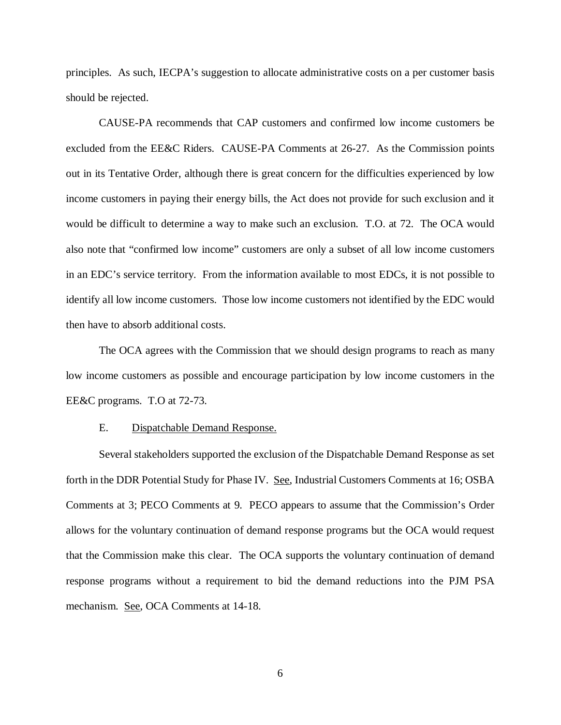principles. As such, IECPA's suggestion to allocate administrative costs on a per customer basis should be rejected.

CAUSE-PA recommends that CAP customers and confirmed low income customers be excluded from the EE&C Riders. CAUSE-PA Comments at 26-27. As the Commission points out in its Tentative Order, although there is great concern for the difficulties experienced by low income customers in paying their energy bills, the Act does not provide for such exclusion and it would be difficult to determine a way to make such an exclusion. T.O. at 72. The OCA would also note that "confirmed low income" customers are only a subset of all low income customers in an EDC's service territory. From the information available to most EDCs, it is not possible to identify all low income customers. Those low income customers not identified by the EDC would then have to absorb additional costs.

The OCA agrees with the Commission that we should design programs to reach as many low income customers as possible and encourage participation by low income customers in the EE&C programs. T.O at 72-73.

## <span id="page-9-0"></span>E. Dispatchable Demand Response.

Several stakeholders supported the exclusion of the Dispatchable Demand Response as set forth in the DDR Potential Study for Phase IV. See, Industrial Customers Comments at 16; OSBA Comments at 3; PECO Comments at 9. PECO appears to assume that the Commission's Order allows for the voluntary continuation of demand response programs but the OCA would request that the Commission make this clear. The OCA supports the voluntary continuation of demand response programs without a requirement to bid the demand reductions into the PJM PSA mechanism. See, OCA Comments at 14-18.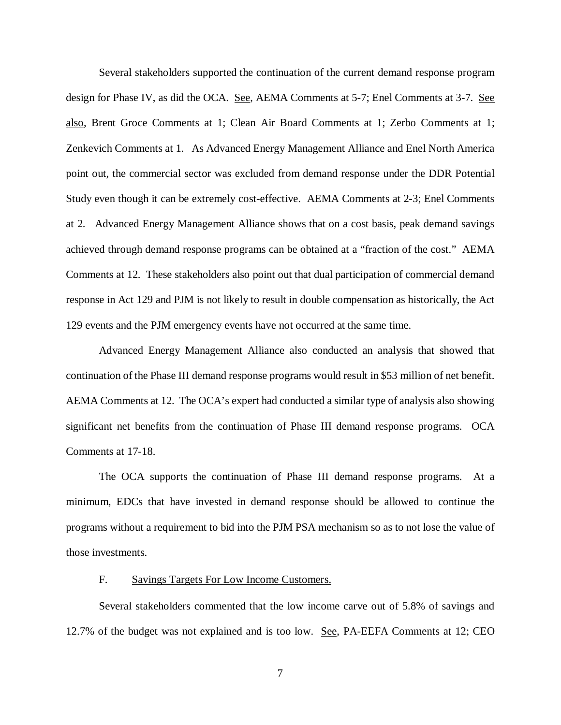Several stakeholders supported the continuation of the current demand response program design for Phase IV, as did the OCA. See, AEMA Comments at 5-7; Enel Comments at 3-7. See also, Brent Groce Comments at 1; Clean Air Board Comments at 1; Zerbo Comments at 1; Zenkevich Comments at 1. As Advanced Energy Management Alliance and Enel North America point out, the commercial sector was excluded from demand response under the DDR Potential Study even though it can be extremely cost-effective. AEMA Comments at 2-3; Enel Comments at 2. Advanced Energy Management Alliance shows that on a cost basis, peak demand savings achieved through demand response programs can be obtained at a "fraction of the cost." AEMA Comments at 12. These stakeholders also point out that dual participation of commercial demand response in Act 129 and PJM is not likely to result in double compensation as historically, the Act 129 events and the PJM emergency events have not occurred at the same time.

Advanced Energy Management Alliance also conducted an analysis that showed that continuation of the Phase III demand response programs would result in \$53 million of net benefit. AEMA Comments at 12. The OCA's expert had conducted a similar type of analysis also showing significant net benefits from the continuation of Phase III demand response programs. OCA Comments at 17-18.

The OCA supports the continuation of Phase III demand response programs. At a minimum, EDCs that have invested in demand response should be allowed to continue the programs without a requirement to bid into the PJM PSA mechanism so as to not lose the value of those investments.

## <span id="page-10-0"></span>F. Savings Targets For Low Income Customers.

Several stakeholders commented that the low income carve out of 5.8% of savings and 12.7% of the budget was not explained and is too low. See, PA-EEFA Comments at 12; CEO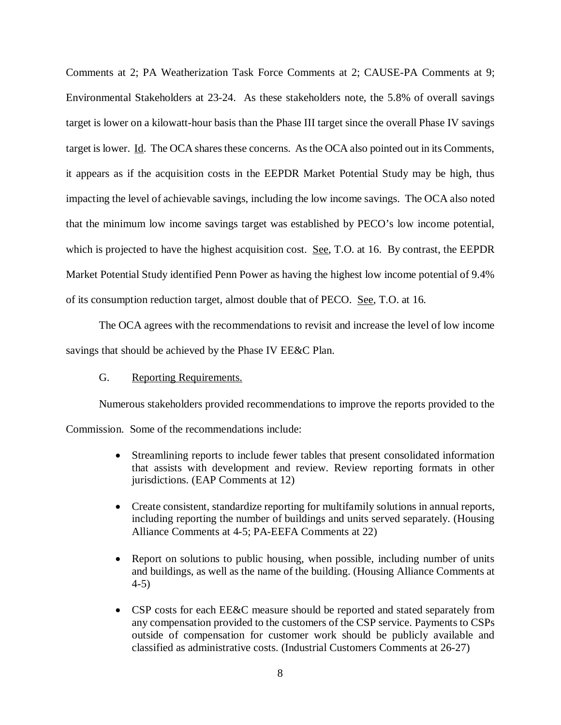Comments at 2; PA Weatherization Task Force Comments at 2; CAUSE-PA Comments at 9; Environmental Stakeholders at 23-24. As these stakeholders note, the 5.8% of overall savings target is lower on a kilowatt-hour basis than the Phase III target since the overall Phase IV savings target is lower. Id. The OCA shares these concerns. As the OCA also pointed out in its Comments, it appears as if the acquisition costs in the EEPDR Market Potential Study may be high, thus impacting the level of achievable savings, including the low income savings. The OCA also noted that the minimum low income savings target was established by PECO's low income potential, which is projected to have the highest acquisition cost. <u>See</u>, T.O. at 16. By contrast, the EEPDR Market Potential Study identified Penn Power as having the highest low income potential of 9.4% of its consumption reduction target, almost double that of PECO. See, T.O. at 16.

The OCA agrees with the recommendations to revisit and increase the level of low income savings that should be achieved by the Phase IV EE&C Plan.

# <span id="page-11-0"></span>G. Reporting Requirements.

Numerous stakeholders provided recommendations to improve the reports provided to the

Commission. Some of the recommendations include:

- Streamlining reports to include fewer tables that present consolidated information that assists with development and review. Review reporting formats in other jurisdictions. (EAP Comments at 12)
- Create consistent, standardize reporting for multifamily solutions in annual reports, including reporting the number of buildings and units served separately. (Housing Alliance Comments at 4-5; PA-EEFA Comments at 22)
- Report on solutions to public housing, when possible, including number of units and buildings, as well as the name of the building. (Housing Alliance Comments at 4-5)
- CSP costs for each EE&C measure should be reported and stated separately from any compensation provided to the customers of the CSP service. Payments to CSPs outside of compensation for customer work should be publicly available and classified as administrative costs. (Industrial Customers Comments at 26-27)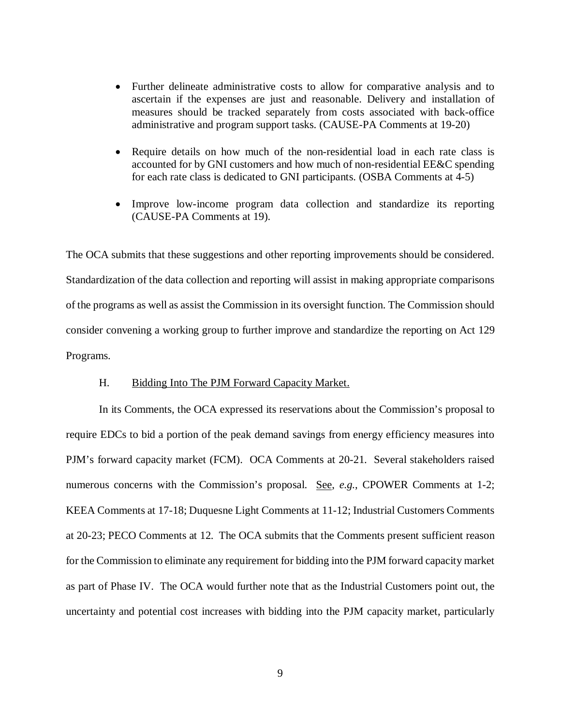- Further delineate administrative costs to allow for comparative analysis and to ascertain if the expenses are just and reasonable. Delivery and installation of measures should be tracked separately from costs associated with back-office administrative and program support tasks. (CAUSE-PA Comments at 19-20)
- Require details on how much of the non-residential load in each rate class is accounted for by GNI customers and how much of non-residential EE&C spending for each rate class is dedicated to GNI participants. (OSBA Comments at 4-5)
- Improve low-income program data collection and standardize its reporting (CAUSE-PA Comments at 19).

The OCA submits that these suggestions and other reporting improvements should be considered. Standardization of the data collection and reporting will assist in making appropriate comparisons of the programs as well as assist the Commission in its oversight function. The Commission should consider convening a working group to further improve and standardize the reporting on Act 129 Programs.

## H. Bidding Into The PJM Forward Capacity Market.

<span id="page-12-0"></span>In its Comments, the OCA expressed its reservations about the Commission's proposal to require EDCs to bid a portion of the peak demand savings from energy efficiency measures into PJM's forward capacity market (FCM). OCA Comments at 20-21. Several stakeholders raised numerous concerns with the Commission's proposal. See, *e.g.*, CPOWER Comments at 1-2; KEEA Comments at 17-18; Duquesne Light Comments at 11-12; Industrial Customers Comments at 20-23; PECO Comments at 12. The OCA submits that the Comments present sufficient reason for the Commission to eliminate any requirement for bidding into the PJM forward capacity market as part of Phase IV. The OCA would further note that as the Industrial Customers point out, the uncertainty and potential cost increases with bidding into the PJM capacity market, particularly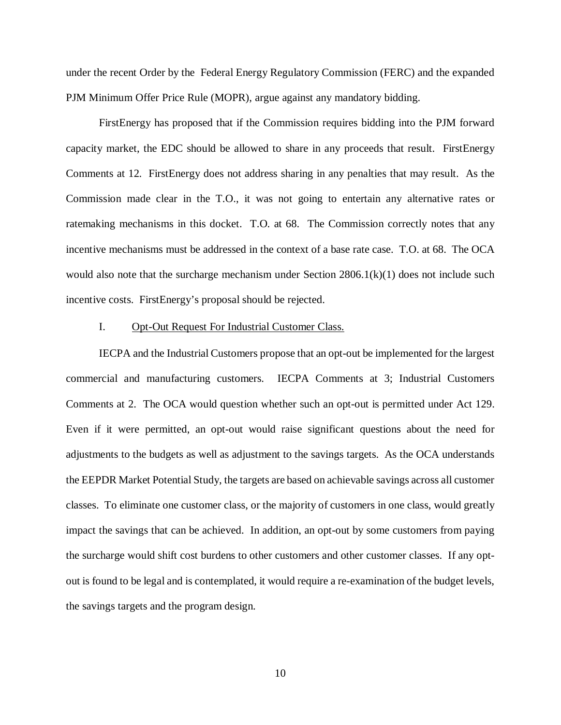under the recent Order by the Federal Energy Regulatory Commission (FERC) and the expanded PJM Minimum Offer Price Rule (MOPR), argue against any mandatory bidding.

FirstEnergy has proposed that if the Commission requires bidding into the PJM forward capacity market, the EDC should be allowed to share in any proceeds that result. FirstEnergy Comments at 12. FirstEnergy does not address sharing in any penalties that may result. As the Commission made clear in the T.O., it was not going to entertain any alternative rates or ratemaking mechanisms in this docket. T.O. at 68. The Commission correctly notes that any incentive mechanisms must be addressed in the context of a base rate case. T.O. at 68. The OCA would also note that the surcharge mechanism under Section 2806.1(k)(1) does not include such incentive costs. FirstEnergy's proposal should be rejected.

## <span id="page-13-0"></span>I. Opt-Out Request For Industrial Customer Class.

IECPA and the Industrial Customers propose that an opt-out be implemented for the largest commercial and manufacturing customers. IECPA Comments at 3; Industrial Customers Comments at 2. The OCA would question whether such an opt-out is permitted under Act 129. Even if it were permitted, an opt-out would raise significant questions about the need for adjustments to the budgets as well as adjustment to the savings targets. As the OCA understands the EEPDR Market Potential Study, the targets are based on achievable savings across all customer classes. To eliminate one customer class, or the majority of customers in one class, would greatly impact the savings that can be achieved. In addition, an opt-out by some customers from paying the surcharge would shift cost burdens to other customers and other customer classes. If any optout is found to be legal and is contemplated, it would require a re-examination of the budget levels, the savings targets and the program design.